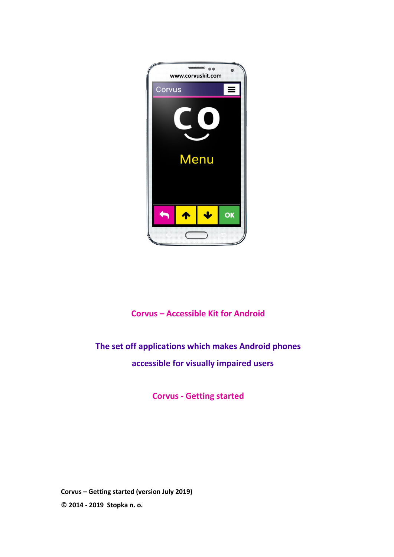

# **Corvus – Accessible Kit for Android**

# **The set off applications which makes Android phones accessible for visually impaired users**

**Corvus - Getting started**

**Corvus – Getting started (version July 2019) © 2014 - 2019 Stopka n. o.**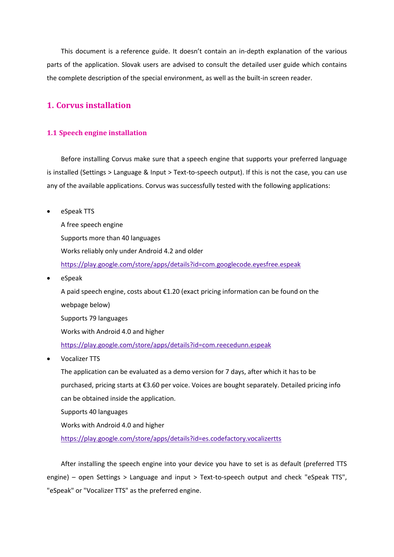This document is a reference guide. It doesn't contain an in-depth explanation of the various parts of the application. Slovak users are advised to consult the detailed user guide which contains the complete description of the special environment, as well as the built-in screen reader.

# **1. Corvus installation**

#### **1.1 Speech engine installation**

Before installing Corvus make sure that a speech engine that supports your preferred language is installed (Settings > Language & Input > Text-to-speech output). If this is not the case, you can use any of the available applications. Corvus was successfully tested with the following applications:

eSpeak TTS

A free speech engine Supports more than 40 languages Works reliably only under Android 4.2 and older <https://play.google.com/store/apps/details?id=com.googlecode.eyesfree.espeak>

eSpeak

A paid speech engine, costs about €1.20 (exact pricing information can be found on the webpage below) Supports 79 languages Works with Android 4.0 and higher <https://play.google.com/store/apps/details?id=com.reecedunn.espeak>

Vocalizer TTS

The application can be evaluated as a demo version for 7 days, after which it has to be purchased, pricing starts at €3.60 per voice. Voices are bought separately. Detailed pricing info can be obtained inside the application.

Supports 40 languages

Works with Android 4.0 and higher

<https://play.google.com/store/apps/details?id=es.codefactory.vocalizertts>

After installing the speech engine into your device you have to set is as default (preferred TTS engine) – open Settings > Language and input > Text-to-speech output and check "eSpeak TTS", "eSpeak" or "Vocalizer TTS" as the preferred engine.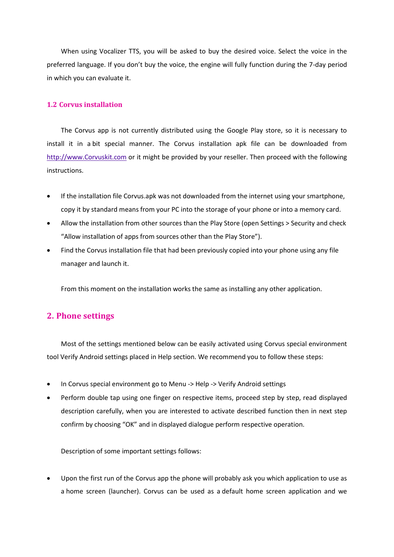When using Vocalizer TTS, you will be asked to buy the desired voice. Select the voice in the preferred language. If you don't buy the voice, the engine will fully function during the 7-day period in which you can evaluate it.

## **1.2 Corvus installation**

The Corvus app is not currently distributed using the Google Play store, so it is necessary to install it in a bit special manner. The Corvus installation apk file can be downloaded from [http://www.Corvuskit.com](http://www.corvuskit.com/) or it might be provided by your reseller. Then proceed with the following instructions.

- If the installation file Corvus.apk was not downloaded from the internet using your smartphone, copy it by standard means from your PC into the storage of your phone or into a memory card.
- Allow the installation from other sources than the Play Store (open Settings > Security and check "Allow installation of apps from sources other than the Play Store").
- Find the Corvus installation file that had been previously copied into your phone using any file manager and launch it.

From this moment on the installation works the same as installing any other application.

# **2. Phone settings**

Most of the settings mentioned below can be easily activated using Corvus special environment tool Verify Android settings placed in Help section. We recommend you to follow these steps:

- In Corvus special environment go to Menu -> Help -> Verify Android settings
- Perform double tap using one finger on respective items, proceed step by step, read displayed description carefully, when you are interested to activate described function then in next step confirm by choosing "OK" and in displayed dialogue perform respective operation.

Description of some important settings follows:

 Upon the first run of the Corvus app the phone will probably ask you which application to use as a home screen (launcher). Corvus can be used as a default home screen application and we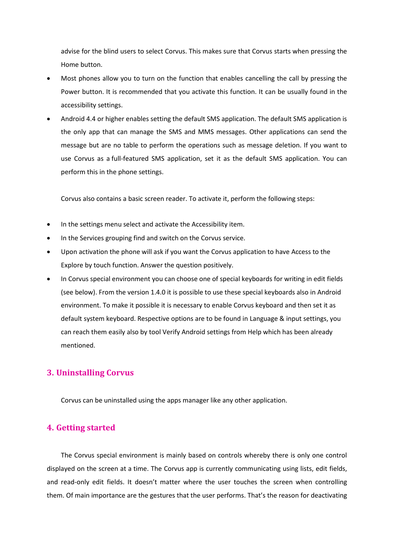advise for the blind users to select Corvus. This makes sure that Corvus starts when pressing the Home button.

- Most phones allow you to turn on the function that enables cancelling the call by pressing the Power button. It is recommended that you activate this function. It can be usually found in the accessibility settings.
- Android 4.4 or higher enables setting the default SMS application. The default SMS application is the only app that can manage the SMS and MMS messages. Other applications can send the message but are no table to perform the operations such as message deletion. If you want to use Corvus as a full-featured SMS application, set it as the default SMS application. You can perform this in the phone settings.

Corvus also contains a basic screen reader. To activate it, perform the following steps:

- In the settings menu select and activate the Accessibility item.
- In the Services grouping find and switch on the Corvus service.
- Upon activation the phone will ask if you want the Corvus application to have Access to the Explore by touch function. Answer the question positively.
- In Corvus special environment you can choose one of special keyboards for writing in edit fields (see below). From the version 1.4.0 it is possible to use these special keyboards also in Android environment. To make it possible it is necessary to enable Corvus keyboard and then set it as default system keyboard. Respective options are to be found in Language & input settings, you can reach them easily also by tool Verify Android settings from Help which has been already mentioned.

# **3. Uninstalling Corvus**

Corvus can be uninstalled using the apps manager like any other application.

# **4. Getting started**

The Corvus special environment is mainly based on controls whereby there is only one control displayed on the screen at a time. The Corvus app is currently communicating using lists, edit fields, and read-only edit fields. It doesn't matter where the user touches the screen when controlling them. Of main importance are the gestures that the user performs. That's the reason for deactivating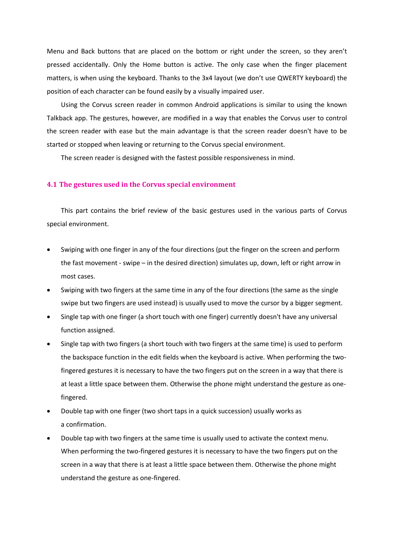Menu and Back buttons that are placed on the bottom or right under the screen, so they aren't pressed accidentally. Only the Home button is active. The only case when the finger placement matters, is when using the keyboard. Thanks to the 3x4 layout (we don't use QWERTY keyboard) the position of each character can be found easily by a visually impaired user.

Using the Corvus screen reader in common Android applications is similar to using the known Talkback app. The gestures, however, are modified in a way that enables the Corvus user to control the screen reader with ease but the main advantage is that the screen reader doesn't have to be started or stopped when leaving or returning to the Corvus special environment.

The screen reader is designed with the fastest possible responsiveness in mind.

## **4.1 The gestures used in the Corvus special environment**

This part contains the brief review of the basic gestures used in the various parts of Corvus special environment.

- Swiping with one finger in any of the four directions (put the finger on the screen and perform the fast movement - swipe – in the desired direction) simulates up, down, left or right arrow in most cases.
- Swiping with two fingers at the same time in any of the four directions (the same as the single swipe but two fingers are used instead) is usually used to move the cursor by a bigger segment.
- Single tap with one finger (a short touch with one finger) currently doesn't have any universal function assigned.
- Single tap with two fingers (a short touch with two fingers at the same time) is used to perform the backspace function in the edit fields when the keyboard is active. When performing the twofingered gestures it is necessary to have the two fingers put on the screen in a way that there is at least a little space between them. Otherwise the phone might understand the gesture as onefingered.
- Double tap with one finger (two short taps in a quick succession) usually works as a confirmation.
- Double tap with two fingers at the same time is usually used to activate the context menu. When performing the two-fingered gestures it is necessary to have the two fingers put on the screen in a way that there is at least a little space between them. Otherwise the phone might understand the gesture as one-fingered.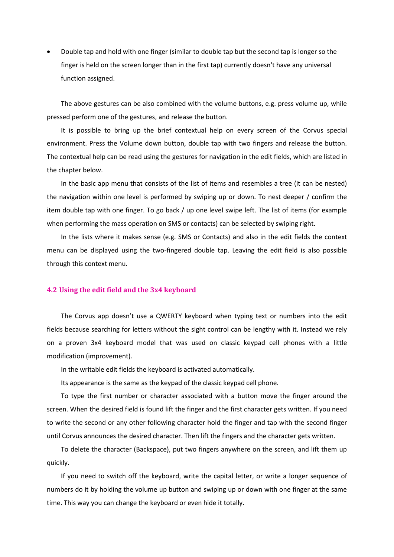Double tap and hold with one finger (similar to double tap but the second tap is longer so the finger is held on the screen longer than in the first tap) currently doesn't have any universal function assigned.

The above gestures can be also combined with the volume buttons, e.g. press volume up, while pressed perform one of the gestures, and release the button.

It is possible to bring up the brief contextual help on every screen of the Corvus special environment. Press the Volume down button, double tap with two fingers and release the button. The contextual help can be read using the gestures for navigation in the edit fields, which are listed in the chapter below.

In the basic app menu that consists of the list of items and resembles a tree (it can be nested) the navigation within one level is performed by swiping up or down. To nest deeper / confirm the item double tap with one finger. To go back / up one level swipe left. The list of items (for example when performing the mass operation on SMS or contacts) can be selected by swiping right.

In the lists where it makes sense (e.g. SMS or Contacts) and also in the edit fields the context menu can be displayed using the two-fingered double tap. Leaving the edit field is also possible through this context menu.

#### **4.2 Using the edit field and the 3x4 keyboard**

The Corvus app doesn't use a QWERTY keyboard when typing text or numbers into the edit fields because searching for letters without the sight control can be lengthy with it. Instead we rely on a proven 3x4 keyboard model that was used on classic keypad cell phones with a little modification (improvement).

In the writable edit fields the keyboard is activated automatically.

Its appearance is the same as the keypad of the classic keypad cell phone.

To type the first number or character associated with a button move the finger around the screen. When the desired field is found lift the finger and the first character gets written. If you need to write the second or any other following character hold the finger and tap with the second finger until Corvus announces the desired character. Then lift the fingers and the character gets written.

To delete the character (Backspace), put two fingers anywhere on the screen, and lift them up quickly.

If you need to switch off the keyboard, write the capital letter, or write a longer sequence of numbers do it by holding the volume up button and swiping up or down with one finger at the same time. This way you can change the keyboard or even hide it totally.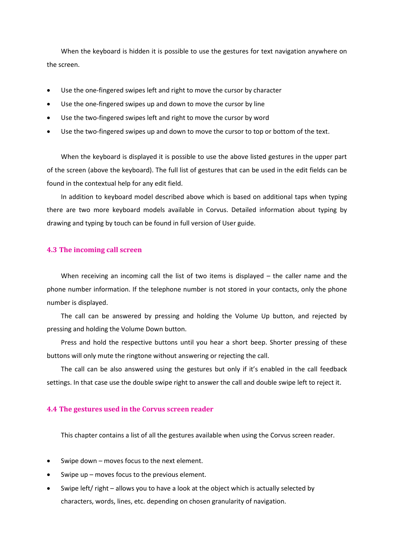When the keyboard is hidden it is possible to use the gestures for text navigation anywhere on the screen.

- Use the one-fingered swipes left and right to move the cursor by character
- Use the one-fingered swipes up and down to move the cursor by line
- Use the two-fingered swipes left and right to move the cursor by word
- Use the two-fingered swipes up and down to move the cursor to top or bottom of the text.

When the keyboard is displayed it is possible to use the above listed gestures in the upper part of the screen (above the keyboard). The full list of gestures that can be used in the edit fields can be found in the contextual help for any edit field.

In addition to keyboard model described above which is based on additional taps when typing there are two more keyboard models available in Corvus. Detailed information about typing by drawing and typing by touch can be found in full version of User guide.

#### **4.3 The incoming call screen**

When receiving an incoming call the list of two items is displayed  $-$  the caller name and the phone number information. If the telephone number is not stored in your contacts, only the phone number is displayed.

The call can be answered by pressing and holding the Volume Up button, and rejected by pressing and holding the Volume Down button.

Press and hold the respective buttons until you hear a short beep. Shorter pressing of these buttons will only mute the ringtone without answering or rejecting the call.

The call can be also answered using the gestures but only if it's enabled in the call feedback settings. In that case use the double swipe right to answer the call and double swipe left to reject it.

#### **4.4 The gestures used in the Corvus screen reader**

This chapter contains a list of all the gestures available when using the Corvus screen reader.

- Swipe down moves focus to the next element.
- Swipe up moves focus to the previous element.
- Swipe left/ right allows you to have a look at the object which is actually selected by characters, words, lines, etc. depending on chosen granularity of navigation.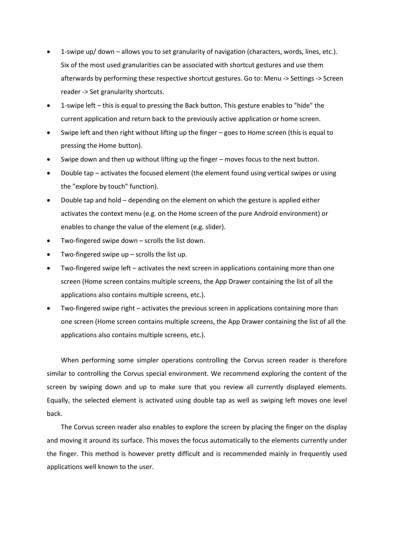- 1-swipe up/ down allows you to set granularity of navigation (characters, words, lines, etc.). Six of the most used granularities can be associated with shortcut gestures and use them afterwards by performing these respective shortcut gestures. Go to: Menu -> Settings -> Screen reader -> Set granularity shortcuts.
- 1-swipe left this is equal to pressing the Back button. This gesture enables to "hide" the current application and return back to the previously active application or home screen.
- Swipe left and then right without lifting up the finger goes to Home screen (this is equal to pressing the Home button).
- Swipe down and then up without lifting up the finger moves focus to the next button.
- Double tap activates the focused element (the element found using vertical swipes or using the "explore by touch" function).
- Double tap and hold depending on the element on which the gesture is applied either activates the context menu (e.g. on the Home screen of the pure Android environment) or enables to change the value of the element (e.g. slider).
- Two-fingered swipe down scrolls the list down.
- Two-fingered swipe up scrolls the list up.
- Two-fingered swipe left activates the next screen in applications containing more than one screen (Home screen contains multiple screens, the App Drawer containing the list of all the applications also contains multiple screens, etc.).
- Two-fingered swipe right activates the previous screen in applications containing more than one screen (Home screen contains multiple screens, the App Drawer containing the list of all the applications also contains multiple screens, etc.).

When performing some simpler operations controlling the Corvus screen reader is therefore similar to controlling the Corvus special environment. We recommend exploring the content of the screen by swiping down and up to make sure that you review all currently displayed elements. Equally, the selected element is activated using double tap as well as swiping left moves one level back.

The Corvus screen reader also enables to explore the screen by placing the finger on the display and moving it around its surface. This moves the focus automatically to the elements currently under the finger. This method is however pretty difficult and is recommended mainly in frequently used applications well known to the user.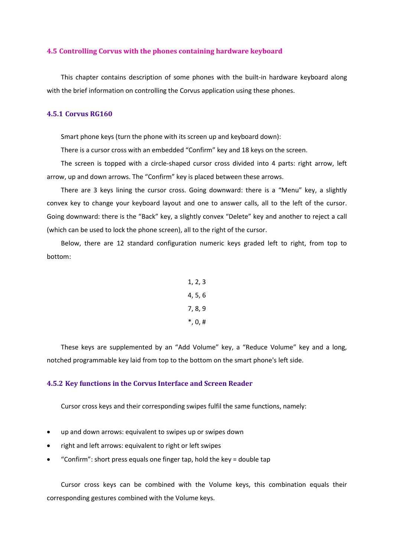#### **4.5 Controlling Corvus with the phones containing hardware keyboard**

This chapter contains description of some phones with the built-in hardware keyboard along with the brief information on controlling the Corvus application using these phones.

# **4.5.1 Corvus RG160**

Smart phone keys (turn the phone with its screen up and keyboard down):

There is a cursor cross with an embedded "Confirm" key and 18 keys on the screen.

The screen is topped with a circle-shaped cursor cross divided into 4 parts: right arrow, left arrow, up and down arrows. The "Confirm" key is placed between these arrows.

There are 3 keys lining the cursor cross. Going downward: there is a "Menu" key, a slightly convex key to change your keyboard layout and one to answer calls, all to the left of the cursor. Going downward: there is the "Back" key, a slightly convex "Delete" key and another to reject a call (which can be used to lock the phone screen), all to the right of the cursor.

Below, there are 12 standard configuration numeric keys graded left to right, from top to bottom:

> 1, 2, 3 4, 5, 6 7, 8, 9 \*, 0, #

These keys are supplemented by an "Add Volume" key, a "Reduce Volume" key and a long, notched programmable key laid from top to the bottom on the smart phone's left side.

#### **4.5.2 Key functions in the Corvus Interface and Screen Reader**

Cursor cross keys and their corresponding swipes fulfil the same functions, namely:

- up and down arrows: equivalent to swipes up or swipes down
- right and left arrows: equivalent to right or left swipes
- "Confirm": short press equals one finger tap, hold the key = double tap

Cursor cross keys can be combined with the Volume keys, this combination equals their corresponding gestures combined with the Volume keys.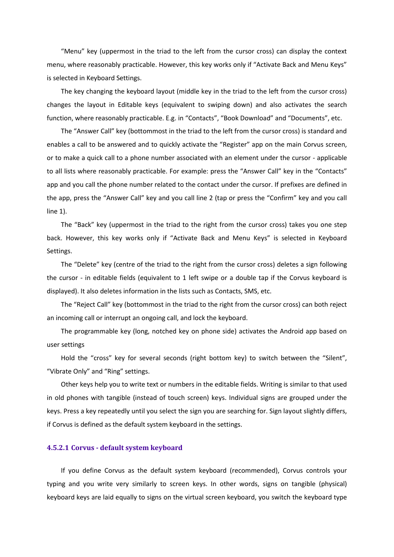"Menu" key (uppermost in the triad to the left from the cursor cross) can display the context menu, where reasonably practicable. However, this key works only if "Activate Back and Menu Keys" is selected in Keyboard Settings.

The key changing the keyboard layout (middle key in the triad to the left from the cursor cross) changes the layout in Editable keys (equivalent to swiping down) and also activates the search function, where reasonably practicable. E.g. in "Contacts", "Book Download" and "Documents", etc.

The "Answer Call" key (bottommost in the triad to the left from the cursor cross) is standard and enables a call to be answered and to quickly activate the "Register" app on the main Corvus screen, or to make a quick call to a phone number associated with an element under the cursor - applicable to all lists where reasonably practicable. For example: press the "Answer Call" key in the "Contacts" app and you call the phone number related to the contact under the cursor. If prefixes are defined in the app, press the "Answer Call" key and you call line 2 (tap or press the "Confirm" key and you call line 1).

The "Back" key (uppermost in the triad to the right from the cursor cross) takes you one step back. However, this key works only if "Activate Back and Menu Keys" is selected in Keyboard Settings.

The "Delete" key (centre of the triad to the right from the cursor cross) deletes a sign following the cursor - in editable fields (equivalent to 1 left swipe or a double tap if the Corvus keyboard is displayed). It also deletes information in the lists such as Contacts, SMS, etc.

The "Reject Call" key (bottommost in the triad to the right from the cursor cross) can both reject an incoming call or interrupt an ongoing call, and lock the keyboard.

The programmable key (long, notched key on phone side) activates the Android app based on user settings

Hold the "cross" key for several seconds (right bottom key) to switch between the "Silent", "Vibrate Only" and "Ring" settings.

Other keys help you to write text or numbers in the editable fields. Writing is similar to that used in old phones with tangible (instead of touch screen) keys. Individual signs are grouped under the keys. Press a key repeatedly until you select the sign you are searching for. Sign layout slightly differs, if Corvus is defined as the default system keyboard in the settings.

#### **4.5.2.1 Corvus - default system keyboard**

If you define Corvus as the default system keyboard (recommended), Corvus controls your typing and you write very similarly to screen keys. In other words, signs on tangible (physical) keyboard keys are laid equally to signs on the virtual screen keyboard, you switch the keyboard type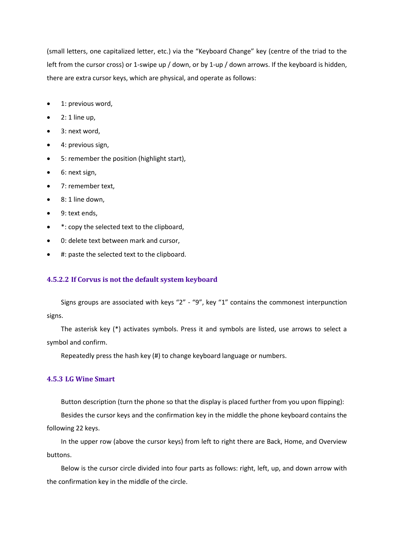(small letters, one capitalized letter, etc.) via the "Keyboard Change" key (centre of the triad to the left from the cursor cross) or 1-swipe up / down, or by 1-up / down arrows. If the keyboard is hidden, there are extra cursor keys, which are physical, and operate as follows:

- 1: previous word,
- $\bullet$  2: 1 line up,
- 3: next word,
- 4: previous sign,
- 5: remember the position (highlight start),
- 6: next sign,
- 7: remember text,
- $\bullet$  8: 1 line down.
- 9: text ends,
- \*: copy the selected text to the clipboard,
- 0: delete text between mark and cursor,
- #: paste the selected text to the clipboard.

# **4.5.2.2 If Corvus is not the default system keyboard**

Signs groups are associated with keys "2" - "9", key "1" contains the commonest interpunction signs.

The asterisk key (\*) activates symbols. Press it and symbols are listed, use arrows to select a symbol and confirm.

Repeatedly press the hash key (#) to change keyboard language or numbers.

## **4.5.3 LG Wine Smart**

Button description (turn the phone so that the display is placed further from you upon flipping):

Besides the cursor keys and the confirmation key in the middle the phone keyboard contains the following 22 keys.

In the upper row (above the cursor keys) from left to right there are Back, Home, and Overview buttons.

Below is the cursor circle divided into four parts as follows: right, left, up, and down arrow with the confirmation key in the middle of the circle.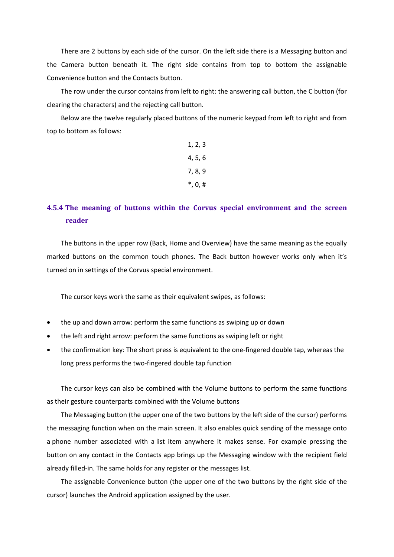There are 2 buttons by each side of the cursor. On the left side there is a Messaging button and the Camera button beneath it. The right side contains from top to bottom the assignable Convenience button and the Contacts button.

The row under the cursor contains from left to right: the answering call button, the C button (for clearing the characters) and the rejecting call button.

Below are the twelve regularly placed buttons of the numeric keypad from left to right and from top to bottom as follows:

| 1, 2, 3     |  |
|-------------|--|
| 4, 5, 6     |  |
| 7, 8, 9     |  |
| $^*, 0, \#$ |  |

# **4.5.4 The meaning of buttons within the Corvus special environment and the screen reader**

The buttons in the upper row (Back, Home and Overview) have the same meaning as the equally marked buttons on the common touch phones. The Back button however works only when it's turned on in settings of the Corvus special environment.

The cursor keys work the same as their equivalent swipes, as follows:

- the up and down arrow: perform the same functions as swiping up or down
- the left and right arrow: perform the same functions as swiping left or right
- the confirmation key: The short press is equivalent to the one-fingered double tap, whereas the long press performs the two-fingered double tap function

The cursor keys can also be combined with the Volume buttons to perform the same functions as their gesture counterparts combined with the Volume buttons

The Messaging button (the upper one of the two buttons by the left side of the cursor) performs the messaging function when on the main screen. It also enables quick sending of the message onto a phone number associated with a list item anywhere it makes sense. For example pressing the button on any contact in the Contacts app brings up the Messaging window with the recipient field already filled-in. The same holds for any register or the messages list.

The assignable Convenience button (the upper one of the two buttons by the right side of the cursor) launches the Android application assigned by the user.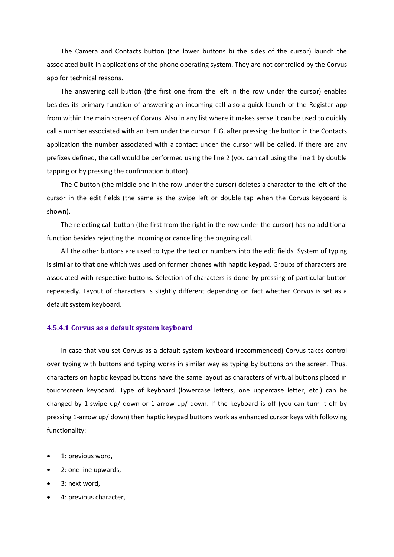The Camera and Contacts button (the lower buttons bi the sides of the cursor) launch the associated built-in applications of the phone operating system. They are not controlled by the Corvus app for technical reasons.

The answering call button (the first one from the left in the row under the cursor) enables besides its primary function of answering an incoming call also a quick launch of the Register app from within the main screen of Corvus. Also in any list where it makes sense it can be used to quickly call a number associated with an item under the cursor. E.G. after pressing the button in the Contacts application the number associated with a contact under the cursor will be called. If there are any prefixes defined, the call would be performed using the line 2 (you can call using the line 1 by double tapping or by pressing the confirmation button).

The C button (the middle one in the row under the cursor) deletes a character to the left of the cursor in the edit fields (the same as the swipe left or double tap when the Corvus keyboard is shown).

The rejecting call button (the first from the right in the row under the cursor) has no additional function besides rejecting the incoming or cancelling the ongoing call.

All the other buttons are used to type the text or numbers into the edit fields. System of typing is similar to that one which was used on former phones with haptic keypad. Groups of characters are associated with respective buttons. Selection of characters is done by pressing of particular button repeatedly. Layout of characters is slightly different depending on fact whether Corvus is set as a default system keyboard.

#### **4.5.4.1 Corvus as a default system keyboard**

In case that you set Corvus as a default system keyboard (recommended) Corvus takes control over typing with buttons and typing works in similar way as typing by buttons on the screen. Thus, characters on haptic keypad buttons have the same layout as characters of virtual buttons placed in touchscreen keyboard. Type of keyboard (lowercase letters, one uppercase letter, etc.) can be changed by 1-swipe up/ down or 1-arrow up/ down. If the keyboard is off (you can turn it off by pressing 1-arrow up/ down) then haptic keypad buttons work as enhanced cursor keys with following functionality:

- 1: previous word,
- 2: one line upwards,
- 3: next word,
- 4: previous character,